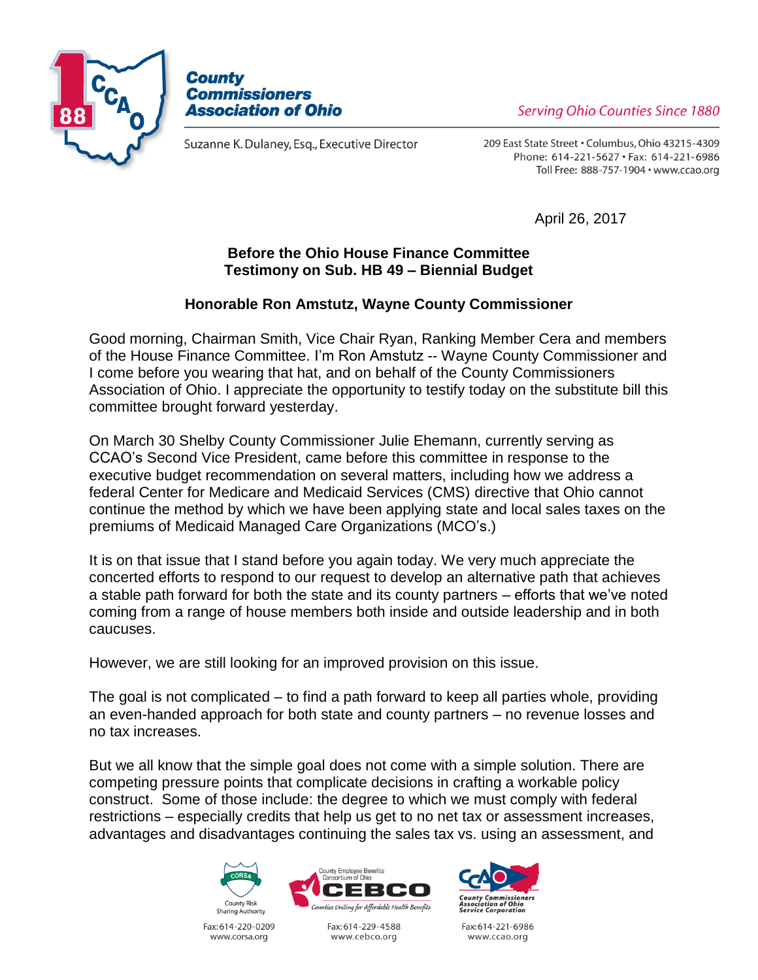



Suzanne K. Dulaney, Esq., Executive Director

Serving Ohio Counties Since 1880

209 East State Street . Columbus, Ohio 43215-4309 Phone: 614-221-5627 · Fax: 614-221-6986 Toll Free: 888-757-1904 · www.ccao.org

April 26, 2017

## **Before the Ohio House Finance Committee Testimony on Sub. HB 49 – Biennial Budget**

## **Honorable Ron Amstutz, Wayne County Commissioner**

Good morning, Chairman Smith, Vice Chair Ryan, Ranking Member Cera and members of the House Finance Committee. I'm Ron Amstutz -- Wayne County Commissioner and I come before you wearing that hat, and on behalf of the County Commissioners Association of Ohio. I appreciate the opportunity to testify today on the substitute bill this committee brought forward yesterday.

On March 30 Shelby County Commissioner Julie Ehemann, currently serving as CCAO's Second Vice President, came before this committee in response to the executive budget recommendation on several matters, including how we address a federal Center for Medicare and Medicaid Services (CMS) directive that Ohio cannot continue the method by which we have been applying state and local sales taxes on the premiums of Medicaid Managed Care Organizations (MCO's.)

It is on that issue that I stand before you again today. We very much appreciate the concerted efforts to respond to our request to develop an alternative path that achieves a stable path forward for both the state and its county partners – efforts that we've noted coming from a range of house members both inside and outside leadership and in both caucuses.

However, we are still looking for an improved provision on this issue.

The goal is not complicated – to find a path forward to keep all parties whole, providing an even-handed approach for both state and county partners – no revenue losses and no tax increases.

But we all know that the simple goal does not come with a simple solution. There are competing pressure points that complicate decisions in crafting a workable policy construct. Some of those include: the degree to which we must comply with federal restrictions – especially credits that help us get to no net tax or assessment increases, advantages and disadvantages continuing the sales tax vs. using an assessment, and





Fax: 614-220-0209 www.corsa.org

Fax: 614-229-4588 www.cebco.org



Fax: 614-221-6986 www.ccao.org